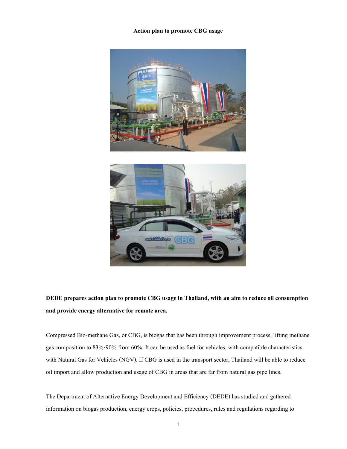## **Action plan to promote CBG usage**





**DEDE prepares action plan to promote CBG usage in Thailand, with an aim to reduce oil consumption and provide energy alternative for remote area.**

Compressed Bio-methane Gas, or CBG, is biogas that has been through improvement process, lifting methane gas composition to 83%-90% from 60%. It can be used as fuel for vehicles, with compatible characteristics with Natural Gas for Vehicles (NGV). If CBG is used in the transport sector, Thailand will be able to reduce oil import and allow production and usage of CBG in areas that are far from natural gas pipe lines.

The Department of Alternative Energy Development and Efficiency (DEDE) has studied and gathered information on biogas production, energy crops, policies, procedures, rules and regulations regarding to